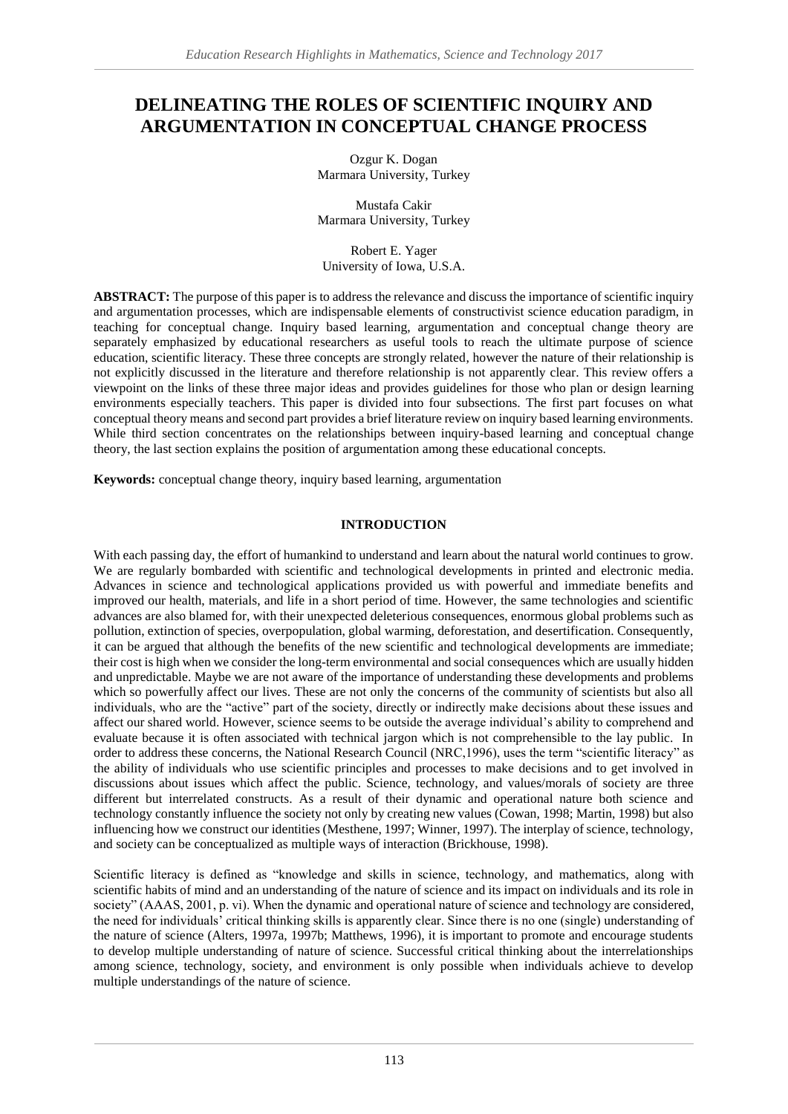# **DELINEATING THE ROLES OF SCIENTIFIC INQUIRY AND ARGUMENTATION IN CONCEPTUAL CHANGE PROCESS**

Ozgur K. Dogan Marmara University, Turkey

Mustafa Cakir Marmara University, Turkey

Robert E. Yager University of Iowa, U.S.A.

**ABSTRACT:** The purpose of this paper is to address the relevance and discuss the importance of scientific inquiry and argumentation processes, which are indispensable elements of constructivist science education paradigm, in teaching for conceptual change. Inquiry based learning, argumentation and conceptual change theory are separately emphasized by educational researchers as useful tools to reach the ultimate purpose of science education, scientific literacy. These three concepts are strongly related, however the nature of their relationship is not explicitly discussed in the literature and therefore relationship is not apparently clear. This review offers a viewpoint on the links of these three major ideas and provides guidelines for those who plan or design learning environments especially teachers. This paper is divided into four subsections. The first part focuses on what conceptual theory means and second part provides a brief literature review on inquiry based learning environments. While third section concentrates on the relationships between inquiry-based learning and conceptual change theory, the last section explains the position of argumentation among these educational concepts.

**Keywords:** conceptual change theory, inquiry based learning, argumentation

## **INTRODUCTION**

With each passing day, the effort of humankind to understand and learn about the natural world continues to grow. We are regularly bombarded with scientific and technological developments in printed and electronic media. Advances in science and technological applications provided us with powerful and immediate benefits and improved our health, materials, and life in a short period of time. However, the same technologies and scientific advances are also blamed for, with their unexpected deleterious consequences, enormous global problems such as pollution, extinction of species, overpopulation, global warming, deforestation, and desertification. Consequently, it can be argued that although the benefits of the new scientific and technological developments are immediate; their cost is high when we consider the long-term environmental and social consequences which are usually hidden and unpredictable. Maybe we are not aware of the importance of understanding these developments and problems which so powerfully affect our lives. These are not only the concerns of the community of scientists but also all individuals, who are the "active" part of the society, directly or indirectly make decisions about these issues and affect our shared world. However, science seems to be outside the average individual's ability to comprehend and evaluate because it is often associated with technical jargon which is not comprehensible to the lay public. In order to address these concerns, the National Research Council (NRC,1996), uses the term "scientific literacy" as the ability of individuals who use scientific principles and processes to make decisions and to get involved in discussions about issues which affect the public. Science, technology, and values/morals of society are three different but interrelated constructs. As a result of their dynamic and operational nature both science and technology constantly influence the society not only by creating new values (Cowan, 1998; Martin, 1998) but also influencing how we construct our identities (Mesthene, 1997; Winner, 1997). The interplay of science, technology, and society can be conceptualized as multiple ways of interaction (Brickhouse, 1998).

Scientific literacy is defined as "knowledge and skills in science, technology, and mathematics, along with scientific habits of mind and an understanding of the nature of science and its impact on individuals and its role in society" (AAAS, 2001, p. vi). When the dynamic and operational nature of science and technology are considered, the need for individuals' critical thinking skills is apparently clear. Since there is no one (single) understanding of the nature of science (Alters, 1997a, 1997b; Matthews, 1996), it is important to promote and encourage students to develop multiple understanding of nature of science. Successful critical thinking about the interrelationships among science, technology, society, and environment is only possible when individuals achieve to develop multiple understandings of the nature of science.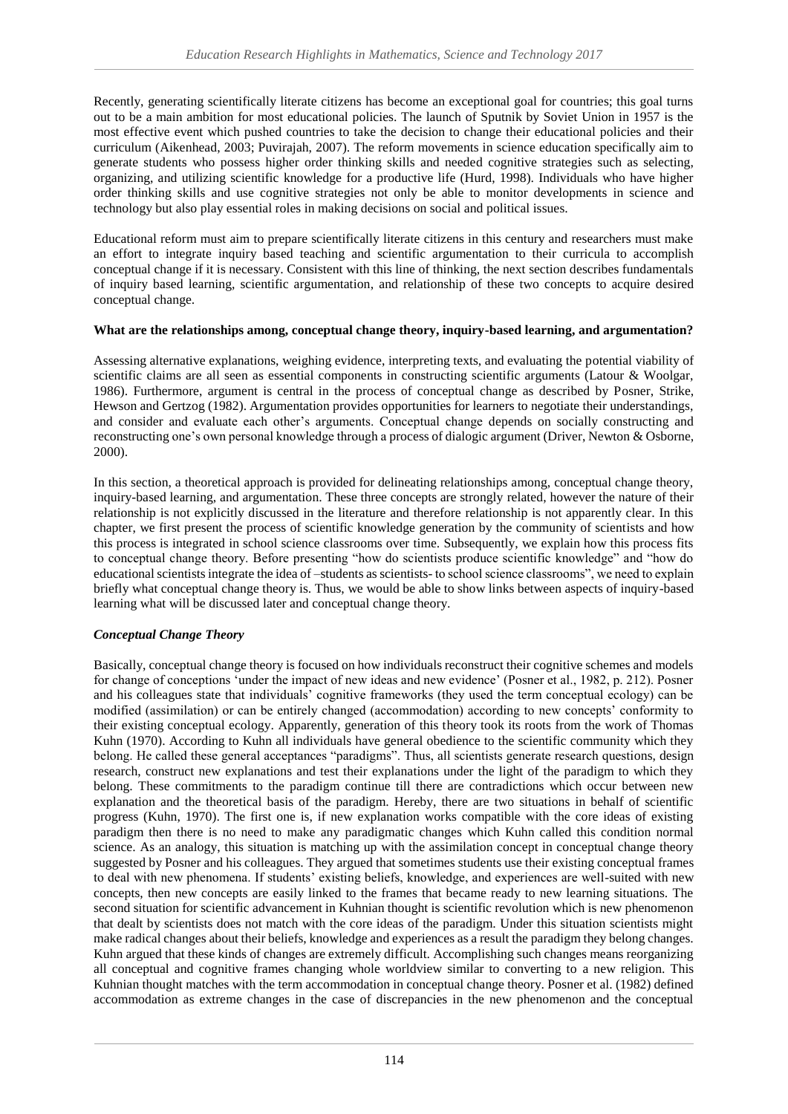Recently, generating scientifically literate citizens has become an exceptional goal for countries; this goal turns out to be a main ambition for most educational policies. The launch of Sputnik by Soviet Union in 1957 is the most effective event which pushed countries to take the decision to change their educational policies and their curriculum (Aikenhead, 2003; Puvirajah, 2007). The reform movements in science education specifically aim to generate students who possess higher order thinking skills and needed cognitive strategies such as selecting, organizing, and utilizing scientific knowledge for a productive life (Hurd, 1998). Individuals who have higher order thinking skills and use cognitive strategies not only be able to monitor developments in science and technology but also play essential roles in making decisions on social and political issues.

Educational reform must aim to prepare scientifically literate citizens in this century and researchers must make an effort to integrate inquiry based teaching and scientific argumentation to their curricula to accomplish conceptual change if it is necessary. Consistent with this line of thinking, the next section describes fundamentals of inquiry based learning, scientific argumentation, and relationship of these two concepts to acquire desired conceptual change.

### **What are the relationships among, conceptual change theory, inquiry-based learning, and argumentation?**

Assessing alternative explanations, weighing evidence, interpreting texts, and evaluating the potential viability of scientific claims are all seen as essential components in constructing scientific arguments (Latour & Woolgar, 1986). Furthermore, argument is central in the process of conceptual change as described by Posner, Strike, Hewson and Gertzog (1982). Argumentation provides opportunities for learners to negotiate their understandings, and consider and evaluate each other's arguments. Conceptual change depends on socially constructing and reconstructing one's own personal knowledge through a process of dialogic argument (Driver, Newton & Osborne, 2000).

In this section, a theoretical approach is provided for delineating relationships among, conceptual change theory, inquiry-based learning, and argumentation. These three concepts are strongly related, however the nature of their relationship is not explicitly discussed in the literature and therefore relationship is not apparently clear. In this chapter, we first present the process of scientific knowledge generation by the community of scientists and how this process is integrated in school science classrooms over time. Subsequently, we explain how this process fits to conceptual change theory. Before presenting "how do scientists produce scientific knowledge" and "how do educational scientists integrate the idea of –students as scientists- to school science classrooms", we need to explain briefly what conceptual change theory is. Thus, we would be able to show links between aspects of inquiry-based learning what will be discussed later and conceptual change theory.

## *Conceptual Change Theory*

Basically, conceptual change theory is focused on how individuals reconstruct their cognitive schemes and models for change of conceptions 'under the impact of new ideas and new evidence' (Posner et al., 1982, p. 212). Posner and his colleagues state that individuals' cognitive frameworks (they used the term conceptual ecology) can be modified (assimilation) or can be entirely changed (accommodation) according to new concepts' conformity to their existing conceptual ecology. Apparently, generation of this theory took its roots from the work of Thomas Kuhn (1970). According to Kuhn all individuals have general obedience to the scientific community which they belong. He called these general acceptances "paradigms". Thus, all scientists generate research questions, design research, construct new explanations and test their explanations under the light of the paradigm to which they belong. These commitments to the paradigm continue till there are contradictions which occur between new explanation and the theoretical basis of the paradigm. Hereby, there are two situations in behalf of scientific progress (Kuhn, 1970). The first one is, if new explanation works compatible with the core ideas of existing paradigm then there is no need to make any paradigmatic changes which Kuhn called this condition normal science. As an analogy, this situation is matching up with the assimilation concept in conceptual change theory suggested by Posner and his colleagues. They argued that sometimes students use their existing conceptual frames to deal with new phenomena. If students' existing beliefs, knowledge, and experiences are well-suited with new concepts, then new concepts are easily linked to the frames that became ready to new learning situations. The second situation for scientific advancement in Kuhnian thought is scientific revolution which is new phenomenon that dealt by scientists does not match with the core ideas of the paradigm. Under this situation scientists might make radical changes about their beliefs, knowledge and experiences as a result the paradigm they belong changes. Kuhn argued that these kinds of changes are extremely difficult. Accomplishing such changes means reorganizing all conceptual and cognitive frames changing whole worldview similar to converting to a new religion. This Kuhnian thought matches with the term accommodation in conceptual change theory. Posner et al. (1982) defined accommodation as extreme changes in the case of discrepancies in the new phenomenon and the conceptual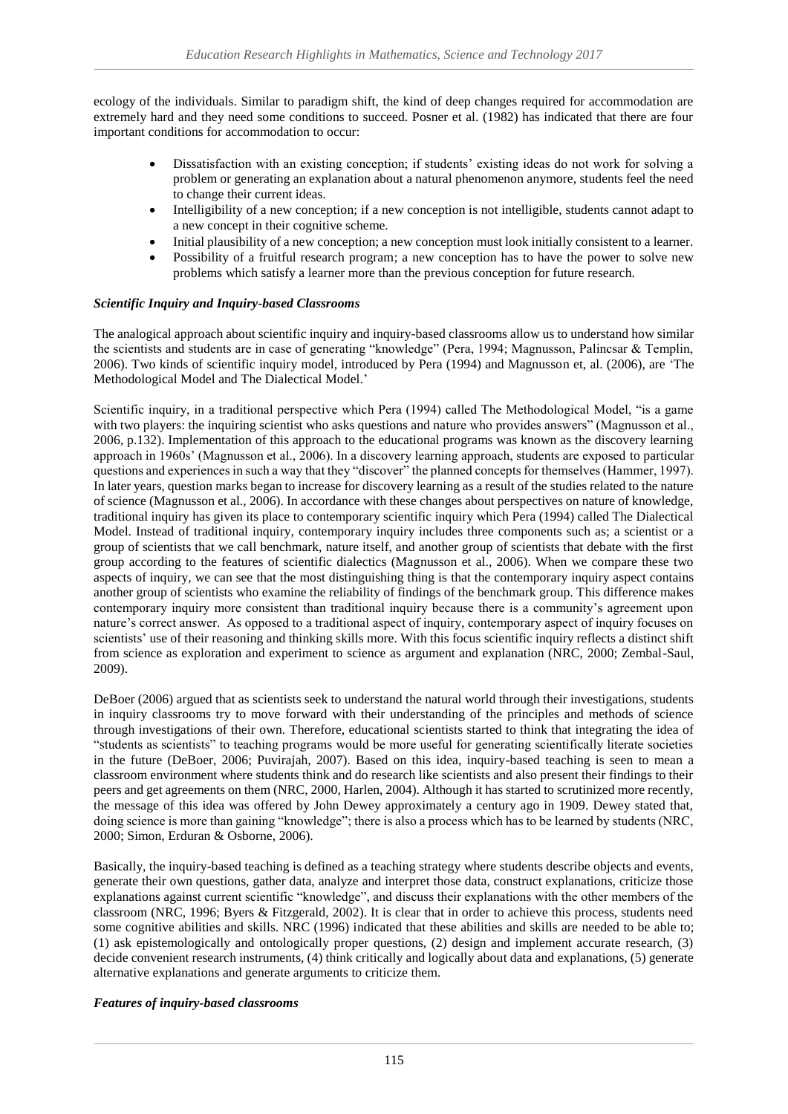ecology of the individuals. Similar to paradigm shift, the kind of deep changes required for accommodation are extremely hard and they need some conditions to succeed. Posner et al. (1982) has indicated that there are four important conditions for accommodation to occur:

- Dissatisfaction with an existing conception; if students' existing ideas do not work for solving a problem or generating an explanation about a natural phenomenon anymore, students feel the need to change their current ideas.
- Intelligibility of a new conception; if a new conception is not intelligible, students cannot adapt to a new concept in their cognitive scheme.
- Initial plausibility of a new conception; a new conception must look initially consistent to a learner.
- Possibility of a fruitful research program; a new conception has to have the power to solve new problems which satisfy a learner more than the previous conception for future research.

### *Scientific Inquiry and Inquiry-based Classrooms*

The analogical approach about scientific inquiry and inquiry-based classrooms allow us to understand how similar the scientists and students are in case of generating "knowledge" (Pera, 1994; Magnusson, Palincsar & Templin, 2006). Two kinds of scientific inquiry model, introduced by Pera (1994) and Magnusson et, al. (2006), are 'The Methodological Model and The Dialectical Model.'

Scientific inquiry, in a traditional perspective which Pera (1994) called The Methodological Model, "is a game with two players: the inquiring scientist who asks questions and nature who provides answers" (Magnusson et al., 2006, p.132). Implementation of this approach to the educational programs was known as the discovery learning approach in 1960s' (Magnusson et al., 2006). In a discovery learning approach, students are exposed to particular questions and experiences in such a way that they "discover" the planned concepts for themselves (Hammer, 1997). In later years, question marks began to increase for discovery learning as a result of the studies related to the nature of science (Magnusson et al., 2006). In accordance with these changes about perspectives on nature of knowledge, traditional inquiry has given its place to contemporary scientific inquiry which Pera (1994) called The Dialectical Model. Instead of traditional inquiry, contemporary inquiry includes three components such as; a scientist or a group of scientists that we call benchmark, nature itself, and another group of scientists that debate with the first group according to the features of scientific dialectics (Magnusson et al., 2006). When we compare these two aspects of inquiry, we can see that the most distinguishing thing is that the contemporary inquiry aspect contains another group of scientists who examine the reliability of findings of the benchmark group. This difference makes contemporary inquiry more consistent than traditional inquiry because there is a community's agreement upon nature's correct answer. As opposed to a traditional aspect of inquiry, contemporary aspect of inquiry focuses on scientists' use of their reasoning and thinking skills more. With this focus scientific inquiry reflects a distinct shift from science as exploration and experiment to science as argument and explanation (NRC, 2000; Zembal-Saul, 2009).

DeBoer (2006) argued that as scientists seek to understand the natural world through their investigations, students in inquiry classrooms try to move forward with their understanding of the principles and methods of science through investigations of their own. Therefore, educational scientists started to think that integrating the idea of "students as scientists" to teaching programs would be more useful for generating scientifically literate societies in the future (DeBoer, 2006; Puvirajah, 2007). Based on this idea, inquiry-based teaching is seen to mean a classroom environment where students think and do research like scientists and also present their findings to their peers and get agreements on them (NRC, 2000, Harlen, 2004). Although it has started to scrutinized more recently, the message of this idea was offered by John Dewey approximately a century ago in 1909. Dewey stated that, doing science is more than gaining "knowledge"; there is also a process which has to be learned by students (NRC, 2000; Simon, Erduran & Osborne, 2006).

Basically, the inquiry-based teaching is defined as a teaching strategy where students describe objects and events, generate their own questions, gather data, analyze and interpret those data, construct explanations, criticize those explanations against current scientific "knowledge", and discuss their explanations with the other members of the classroom (NRC, 1996; Byers & Fitzgerald, 2002). It is clear that in order to achieve this process, students need some cognitive abilities and skills. NRC (1996) indicated that these abilities and skills are needed to be able to; (1) ask epistemologically and ontologically proper questions, (2) design and implement accurate research, (3) decide convenient research instruments, (4) think critically and logically about data and explanations, (5) generate alternative explanations and generate arguments to criticize them.

#### *Features of inquiry-based classrooms*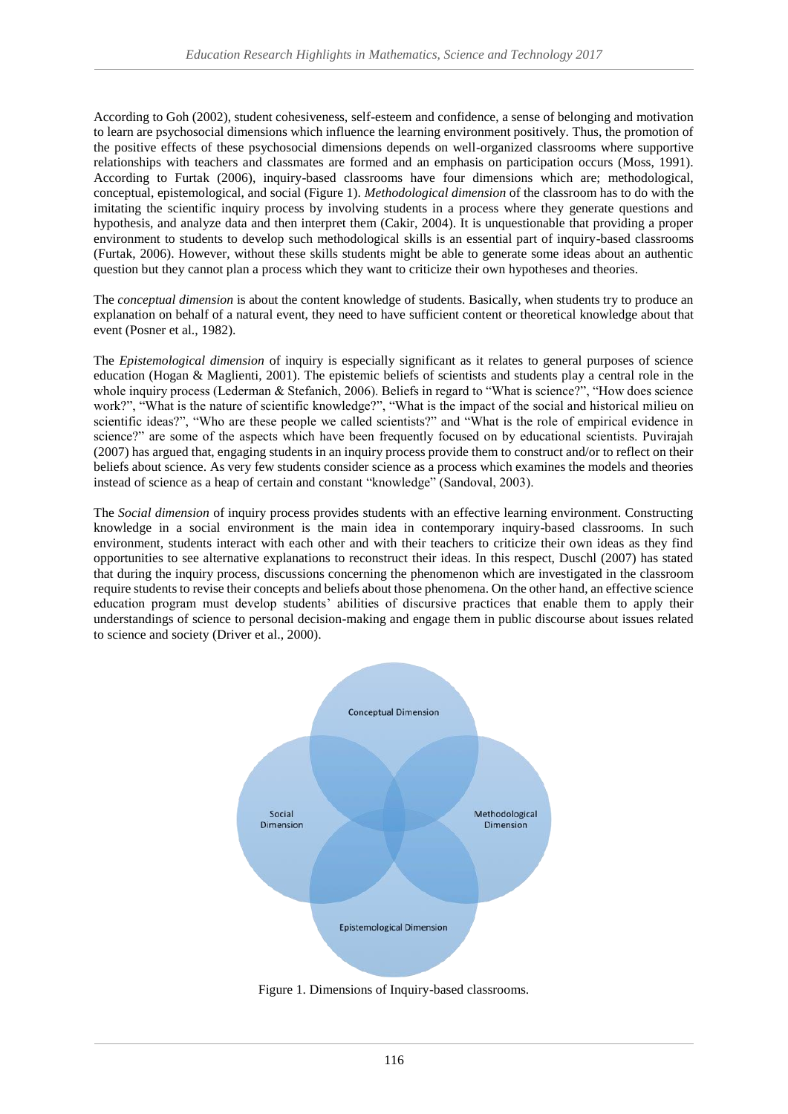According to Goh (2002), student cohesiveness, self-esteem and confidence, a sense of belonging and motivation to learn are psychosocial dimensions which influence the learning environment positively. Thus, the promotion of the positive effects of these psychosocial dimensions depends on well-organized classrooms where supportive relationships with teachers and classmates are formed and an emphasis on participation occurs (Moss, 1991). According to Furtak (2006), inquiry-based classrooms have four dimensions which are; methodological, conceptual, epistemological, and social (Figure 1). *Methodological dimension* of the classroom has to do with the imitating the scientific inquiry process by involving students in a process where they generate questions and hypothesis, and analyze data and then interpret them (Cakir, 2004). It is unquestionable that providing a proper environment to students to develop such methodological skills is an essential part of inquiry-based classrooms (Furtak, 2006). However, without these skills students might be able to generate some ideas about an authentic question but they cannot plan a process which they want to criticize their own hypotheses and theories.

The *conceptual dimension* is about the content knowledge of students. Basically, when students try to produce an explanation on behalf of a natural event, they need to have sufficient content or theoretical knowledge about that event (Posner et al., 1982).

The *Epistemological dimension* of inquiry is especially significant as it relates to general purposes of science education (Hogan & Maglienti, 2001). The epistemic beliefs of scientists and students play a central role in the whole inquiry process (Lederman & Stefanich, 2006). Beliefs in regard to "What is science?", "How does science work?", "What is the nature of scientific knowledge?", "What is the impact of the social and historical milieu on scientific ideas?", "Who are these people we called scientists?" and "What is the role of empirical evidence in science?" are some of the aspects which have been frequently focused on by educational scientists. Puvirajah (2007) has argued that, engaging students in an inquiry process provide them to construct and/or to reflect on their beliefs about science. As very few students consider science as a process which examines the models and theories instead of science as a heap of certain and constant "knowledge" (Sandoval, 2003).

The *Social dimension* of inquiry process provides students with an effective learning environment. Constructing knowledge in a social environment is the main idea in contemporary inquiry-based classrooms. In such environment, students interact with each other and with their teachers to criticize their own ideas as they find opportunities to see alternative explanations to reconstruct their ideas. In this respect, Duschl (2007) has stated that during the inquiry process, discussions concerning the phenomenon which are investigated in the classroom require students to revise their concepts and beliefs about those phenomena. On the other hand, an effective science education program must develop students' abilities of discursive practices that enable them to apply their understandings of science to personal decision-making and engage them in public discourse about issues related to science and society (Driver et al., 2000).



Figure 1. Dimensions of Inquiry-based classrooms.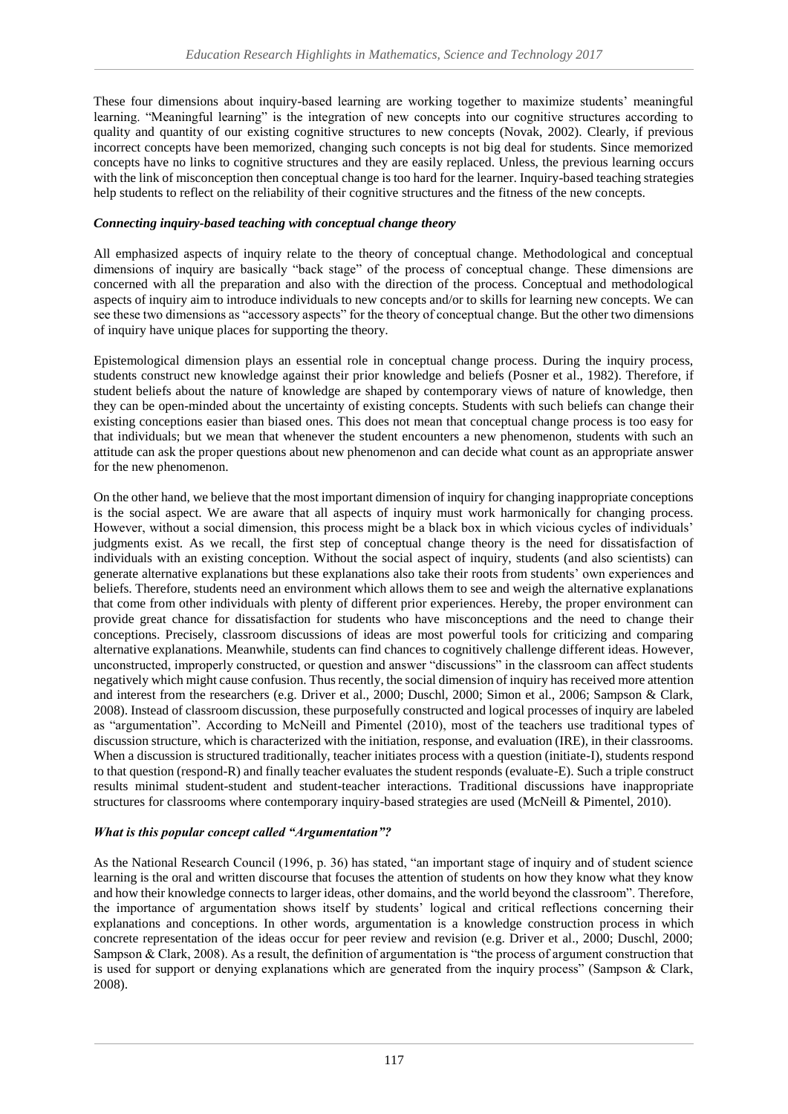These four dimensions about inquiry-based learning are working together to maximize students' meaningful learning. "Meaningful learning" is the integration of new concepts into our cognitive structures according to quality and quantity of our existing cognitive structures to new concepts (Novak, 2002). Clearly, if previous incorrect concepts have been memorized, changing such concepts is not big deal for students. Since memorized concepts have no links to cognitive structures and they are easily replaced. Unless, the previous learning occurs with the link of misconception then conceptual change is too hard for the learner. Inquiry-based teaching strategies help students to reflect on the reliability of their cognitive structures and the fitness of the new concepts.

## *Connecting inquiry-based teaching with conceptual change theory*

All emphasized aspects of inquiry relate to the theory of conceptual change. Methodological and conceptual dimensions of inquiry are basically "back stage" of the process of conceptual change. These dimensions are concerned with all the preparation and also with the direction of the process. Conceptual and methodological aspects of inquiry aim to introduce individuals to new concepts and/or to skills for learning new concepts. We can see these two dimensions as "accessory aspects" for the theory of conceptual change. But the other two dimensions of inquiry have unique places for supporting the theory.

Epistemological dimension plays an essential role in conceptual change process. During the inquiry process, students construct new knowledge against their prior knowledge and beliefs (Posner et al., 1982). Therefore, if student beliefs about the nature of knowledge are shaped by contemporary views of nature of knowledge, then they can be open-minded about the uncertainty of existing concepts. Students with such beliefs can change their existing conceptions easier than biased ones. This does not mean that conceptual change process is too easy for that individuals; but we mean that whenever the student encounters a new phenomenon, students with such an attitude can ask the proper questions about new phenomenon and can decide what count as an appropriate answer for the new phenomenon.

On the other hand, we believe that the most important dimension of inquiry for changing inappropriate conceptions is the social aspect. We are aware that all aspects of inquiry must work harmonically for changing process. However, without a social dimension, this process might be a black box in which vicious cycles of individuals' judgments exist. As we recall, the first step of conceptual change theory is the need for dissatisfaction of individuals with an existing conception. Without the social aspect of inquiry, students (and also scientists) can generate alternative explanations but these explanations also take their roots from students' own experiences and beliefs. Therefore, students need an environment which allows them to see and weigh the alternative explanations that come from other individuals with plenty of different prior experiences. Hereby, the proper environment can provide great chance for dissatisfaction for students who have misconceptions and the need to change their conceptions. Precisely, classroom discussions of ideas are most powerful tools for criticizing and comparing alternative explanations. Meanwhile, students can find chances to cognitively challenge different ideas. However, unconstructed, improperly constructed, or question and answer "discussions" in the classroom can affect students negatively which might cause confusion. Thus recently, the social dimension of inquiry has received more attention and interest from the researchers (e.g. Driver et al., 2000; Duschl, 2000; Simon et al., 2006; Sampson & Clark, 2008). Instead of classroom discussion, these purposefully constructed and logical processes of inquiry are labeled as "argumentation". According to McNeill and Pimentel (2010), most of the teachers use traditional types of discussion structure, which is characterized with the initiation, response, and evaluation (IRE), in their classrooms. When a discussion is structured traditionally, teacher initiates process with a question (initiate-I), students respond to that question (respond-R) and finally teacher evaluates the student responds (evaluate-E). Such a triple construct results minimal student-student and student-teacher interactions. Traditional discussions have inappropriate structures for classrooms where contemporary inquiry-based strategies are used (McNeill & Pimentel, 2010).

## *What is this popular concept called "Argumentation"?*

As the National Research Council (1996, p. 36) has stated, "an important stage of inquiry and of student science learning is the oral and written discourse that focuses the attention of students on how they know what they know and how their knowledge connects to larger ideas, other domains, and the world beyond the classroom". Therefore, the importance of argumentation shows itself by students' logical and critical reflections concerning their explanations and conceptions. In other words, argumentation is a knowledge construction process in which concrete representation of the ideas occur for peer review and revision (e.g. Driver et al., 2000; Duschl, 2000; Sampson & Clark, 2008). As a result, the definition of argumentation is "the process of argument construction that is used for support or denying explanations which are generated from the inquiry process" (Sampson & Clark, 2008).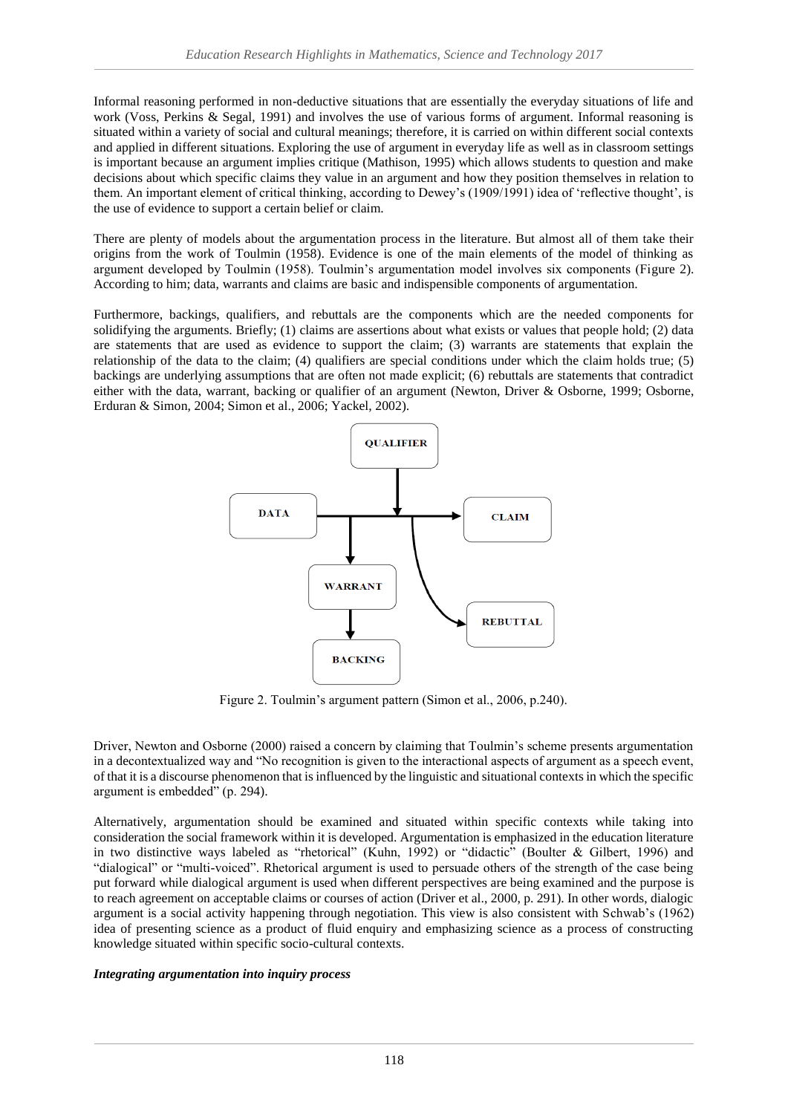Informal reasoning performed in non-deductive situations that are essentially the everyday situations of life and work (Voss, Perkins & Segal, 1991) and involves the use of various forms of argument. Informal reasoning is situated within a variety of social and cultural meanings; therefore, it is carried on within different social contexts and applied in different situations. Exploring the use of argument in everyday life as well as in classroom settings is important because an argument implies critique (Mathison, 1995) which allows students to question and make decisions about which specific claims they value in an argument and how they position themselves in relation to them. An important element of critical thinking, according to Dewey's (1909/1991) idea of 'reflective thought', is the use of evidence to support a certain belief or claim.

There are plenty of models about the argumentation process in the literature. But almost all of them take their origins from the work of Toulmin (1958). Evidence is one of the main elements of the model of thinking as argument developed by Toulmin (1958). Toulmin's argumentation model involves six components (Figure 2). According to him; data, warrants and claims are basic and indispensible components of argumentation.

Furthermore, backings, qualifiers, and rebuttals are the components which are the needed components for solidifying the arguments. Briefly; (1) claims are assertions about what exists or values that people hold; (2) data are statements that are used as evidence to support the claim; (3) warrants are statements that explain the relationship of the data to the claim; (4) qualifiers are special conditions under which the claim holds true; (5) backings are underlying assumptions that are often not made explicit; (6) rebuttals are statements that contradict either with the data, warrant, backing or qualifier of an argument (Newton, Driver & Osborne, 1999; Osborne, Erduran & Simon, 2004; Simon et al., 2006; Yackel, 2002).



Figure 2. Toulmin's argument pattern (Simon et al., 2006, p.240).

Driver, Newton and Osborne (2000) raised a concern by claiming that Toulmin's scheme presents argumentation in a decontextualized way and "No recognition is given to the interactional aspects of argument as a speech event, of that it is a discourse phenomenon that is influenced by the linguistic and situational contexts in which the specific argument is embedded" (p. 294).

Alternatively, argumentation should be examined and situated within specific contexts while taking into consideration the social framework within it is developed. Argumentation is emphasized in the education literature in two distinctive ways labeled as "rhetorical" (Kuhn, 1992) or "didactic" (Boulter & Gilbert, 1996) and "dialogical" or "multi-voiced". Rhetorical argument is used to persuade others of the strength of the case being put forward while dialogical argument is used when different perspectives are being examined and the purpose is to reach agreement on acceptable claims or courses of action (Driver et al., 2000, p. 291). In other words, dialogic argument is a social activity happening through negotiation. This view is also consistent with Schwab's (1962) idea of presenting science as a product of fluid enquiry and emphasizing science as a process of constructing knowledge situated within specific socio-cultural contexts.

## *Integrating argumentation into inquiry process*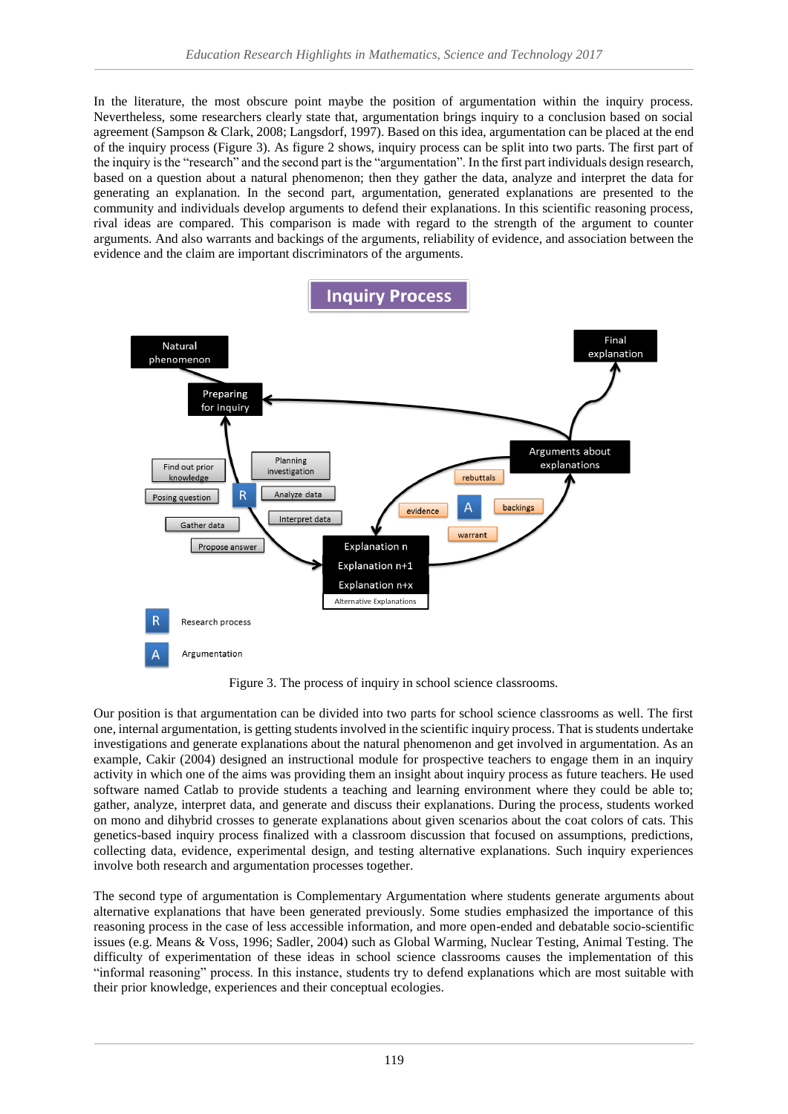In the literature, the most obscure point maybe the position of argumentation within the inquiry process. Nevertheless, some researchers clearly state that, argumentation brings inquiry to a conclusion based on social agreement (Sampson & Clark, 2008; Langsdorf, 1997). Based on this idea, argumentation can be placed at the end of the inquiry process (Figure 3). As figure 2 shows, inquiry process can be split into two parts. The first part of the inquiry is the "research" and the second part is the "argumentation". In the first part individuals design research, based on a question about a natural phenomenon; then they gather the data, analyze and interpret the data for generating an explanation. In the second part, argumentation, generated explanations are presented to the community and individuals develop arguments to defend their explanations. In this scientific reasoning process, rival ideas are compared. This comparison is made with regard to the strength of the argument to counter arguments. And also warrants and backings of the arguments, reliability of evidence, and association between the evidence and the claim are important discriminators of the arguments.



Figure 3. The process of inquiry in school science classrooms.

Our position is that argumentation can be divided into two parts for school science classrooms as well. The first one, internal argumentation, is getting students involved in the scientific inquiry process. That is students undertake investigations and generate explanations about the natural phenomenon and get involved in argumentation. As an example, Cakir (2004) designed an instructional module for prospective teachers to engage them in an inquiry activity in which one of the aims was providing them an insight about inquiry process as future teachers. He used software named Catlab to provide students a teaching and learning environment where they could be able to; gather, analyze, interpret data, and generate and discuss their explanations. During the process, students worked on mono and dihybrid crosses to generate explanations about given scenarios about the coat colors of cats. This genetics-based inquiry process finalized with a classroom discussion that focused on assumptions, predictions, collecting data, evidence, experimental design, and testing alternative explanations. Such inquiry experiences involve both research and argumentation processes together.

The second type of argumentation is Complementary Argumentation where students generate arguments about alternative explanations that have been generated previously. Some studies emphasized the importance of this reasoning process in the case of less accessible information, and more open-ended and debatable socio-scientific issues (e.g. Means & Voss, 1996; Sadler, 2004) such as Global Warming, Nuclear Testing, Animal Testing. The difficulty of experimentation of these ideas in school science classrooms causes the implementation of this "informal reasoning" process. In this instance, students try to defend explanations which are most suitable with their prior knowledge, experiences and their conceptual ecologies.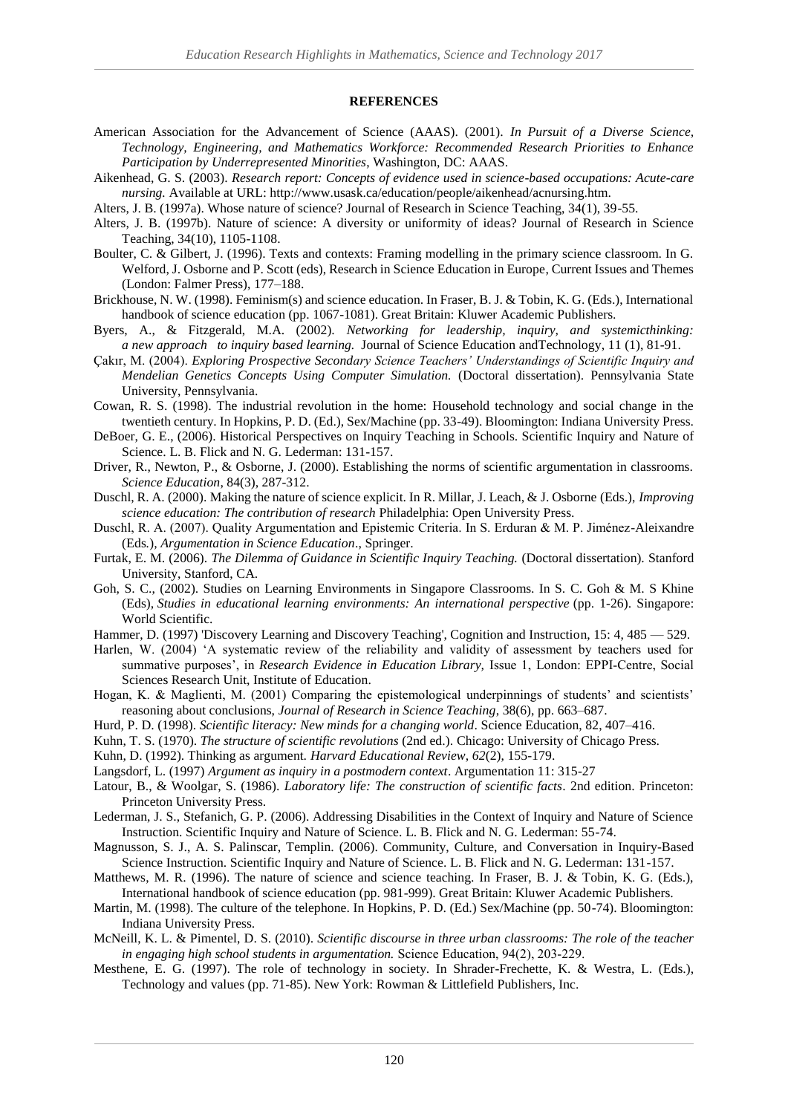#### **REFERENCES**

- American Association for the Advancement of Science (AAAS). (2001). *In Pursuit of a Diverse Science, Technology, Engineering, and Mathematics Workforce: Recommended Research Priorities to Enhance Participation by Underrepresented Minorities*, Washington, DC: AAAS.
- Aikenhead, G. S. (2003). *Research report: Concepts of evidence used in science-based occupations: Acute-care nursing.* Available at URL: http://www.usask.ca/education/people/aikenhead/acnursing.htm.
- Alters, J. B. (1997a). Whose nature of science? Journal of Research in Science Teaching, 34(1), 39-55.
- Alters, J. B. (1997b). Nature of science: A diversity or uniformity of ideas? Journal of Research in Science Teaching, 34(10), 1105-1108.
- Boulter, C. & Gilbert, J. (1996). Texts and contexts: Framing modelling in the primary science classroom. In G. Welford, J. Osborne and P. Scott (eds), Research in Science Education in Europe, Current Issues and Themes (London: Falmer Press), 177–188.
- Brickhouse, N. W. (1998). Feminism(s) and science education. In Fraser, B. J. & Tobin, K. G. (Eds.), International handbook of science education (pp. 1067-1081). Great Britain: Kluwer Academic Publishers.
- Byers, A., & Fitzgerald, M.A. (2002). *Networking for leadership, inquiry, and systemicthinking: a new approach to inquiry based learning.* Journal of Science Education andTechnology, 11 (1), 81-91.
- Çakır, M. (2004). *Exploring Prospective Secondary Science Teachers' Understandings of Scientific Inquiry and Mendelian Genetics Concepts Using Computer Simulation.* (Doctoral dissertation). Pennsylvania State University, Pennsylvania.
- Cowan, R. S. (1998). The industrial revolution in the home: Household technology and social change in the twentieth century. In Hopkins, P. D. (Ed.), Sex/Machine (pp. 33-49). Bloomington: Indiana University Press.
- DeBoer, G. E., (2006). Historical Perspectives on Inquiry Teaching in Schools. Scientific Inquiry and Nature of Science. L. B. Flick and N. G. Lederman: 131-157.
- Driver, R., Newton, P., & Osborne, J. (2000). Establishing the norms of scientific argumentation in classrooms. *Science Education*, 84(3), 287-312.
- Duschl, R. A. (2000). Making the nature of science explicit. In R. Millar, J. Leach, & J. Osborne (Eds.), *Improving science education: The contribution of research* Philadelphia: Open University Press.
- Duschl, R. A. (2007). Quality Argumentation and Epistemic Criteria. In S. Erduran & M. P. Jiménez-Aleixandre (Eds*.*)*, Argumentation in Science Education*., Springer.
- Furtak, E. M. (2006). *The Dilemma of Guidance in Scientific Inquiry Teaching.* (Doctoral dissertation). Stanford University, Stanford, CA.
- Goh, S. C., (2002). Studies on Learning Environments in Singapore Classrooms. In S. C. Goh & M. S Khine (Eds), *Studies in educational learning environments: An international perspective* (pp. 1-26). Singapore: World Scientific.
- Hammer, D. (1997) 'Discovery Learning and Discovery Teaching', Cognition and Instruction, 15: 4, 485 529.
- Harlen, W. (2004) 'A systematic review of the reliability and validity of assessment by teachers used for summative purposes', in *Research Evidence in Education Library*, Issue 1, London: EPPI-Centre, Social Sciences Research Unit, Institute of Education.
- Hogan, K. & Maglienti, M. (2001) Comparing the epistemological underpinnings of students' and scientists' reasoning about conclusions, *Journal of Research in Science Teaching*, 38(6), pp. 663–687.
- Hurd, P. D. (1998). *Scientific literacy: New minds for a changing world*. Science Education, 82, 407–416.
- Kuhn, T. S. (1970). *The structure of scientific revolutions* (2nd ed.). Chicago: University of Chicago Press.
- Kuhn, D. (1992). Thinking as argument. *Harvard Educational Review*, *62*(2), 155-179.
- Langsdorf, L. (1997) *Argument as inquiry in a postmodern context*. Argumentation 11: 315-27
- Latour, B., & Woolgar, S. (1986). *Laboratory life: The construction of scientific facts*. 2nd edition. Princeton: Princeton University Press.
- Lederman, J. S., Stefanich, G. P. (2006). Addressing Disabilities in the Context of Inquiry and Nature of Science Instruction. Scientific Inquiry and Nature of Science. L. B. Flick and N. G. Lederman: 55-74.
- Magnusson, S. J., A. S. Palinscar, Templin. (2006). Community, Culture, and Conversation in Inquiry-Based Science Instruction. Scientific Inquiry and Nature of Science. L. B. Flick and N. G. Lederman: 131-157.
- Matthews, M. R. (1996). The nature of science and science teaching. In Fraser, B. J. & Tobin, K. G. (Eds.), International handbook of science education (pp. 981-999). Great Britain: Kluwer Academic Publishers.
- Martin, M. (1998). The culture of the telephone. In Hopkins, P. D. (Ed.) Sex/Machine (pp. 50-74). Bloomington: Indiana University Press.
- McNeill, K. L. & Pimentel, D. S. (2010). *Scientific discourse in three urban classrooms: The role of the teacher in engaging high school students in argumentation.* Science Education, 94(2), 203‐229.
- Mesthene, E. G. (1997). The role of technology in society. In Shrader-Frechette, K. & Westra, L. (Eds.), Technology and values (pp. 71-85). New York: Rowman & Littlefield Publishers, Inc.